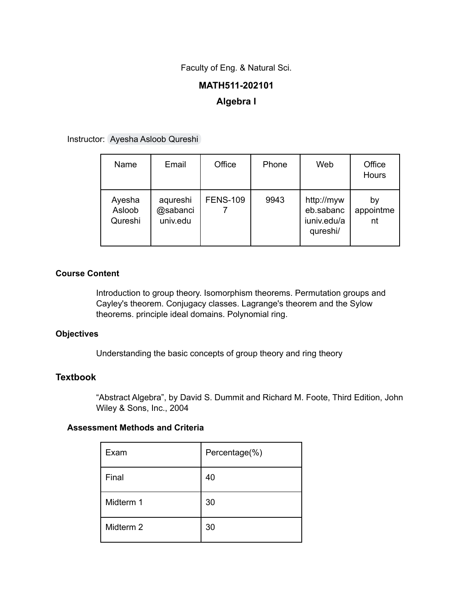Faculty of Eng. & Natural Sci.

# **MATH511-202101 Algebra I**

Instructor: Ayesha Asloob [Qureshi](mailto:ayesha.asloob@sabanciuniv.edu)

| Name                        | Email                            | Office          | Phone | Web                                                | Office<br>Hours       |
|-----------------------------|----------------------------------|-----------------|-------|----------------------------------------------------|-----------------------|
| Ayesha<br>Asloob<br>Qureshi | aqureshi<br>@sabanci<br>univ.edu | <b>FENS-109</b> | 9943  | http://myw<br>eb.sabanc<br>iuniv.edu/a<br>qureshi/ | bγ<br>appointme<br>nt |

## **Course Content**

Introduction to group theory. Isomorphism theorems. Permutation groups and Cayley's theorem. Conjugacy classes. Lagrange's theorem and the Sylow theorems. principle ideal domains. Polynomial ring.

## **Objectives**

Understanding the basic concepts of group theory and ring theory

# **Textbook**

"Abstract Algebra", by David S. Dummit and Richard M. Foote, Third Edition, John Wiley & Sons, Inc., 2004

### **Assessment Methods and Criteria**

| Exam      | Percentage(%) |
|-----------|---------------|
| Final     | 40            |
| Midterm 1 | 30            |
| Midterm 2 | 30            |